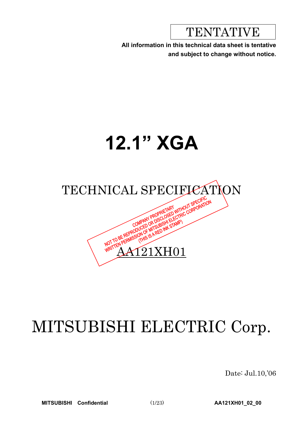TENTATIVE

**All information in this technical data sheet is tentative and subject to change without notice.**

# **12.1" XGA**



# MITSUBISHI ELECTRIC Corp.

Date: Jul.10,'06

**MITSUBISHI Confidential** (1/23) **AA121XH01\_02\_00**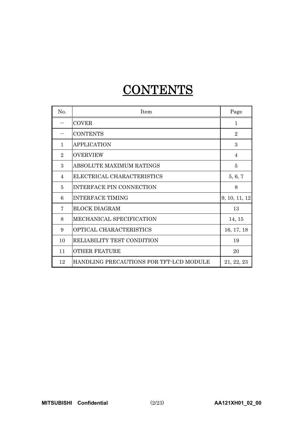## CONTENTS-

| No.            | <b>Item</b>                             | Page           |
|----------------|-----------------------------------------|----------------|
|                | <b>COVER</b>                            | $\mathbf{1}$   |
|                | <b>CONTENTS</b>                         | $\overline{2}$ |
| 1              | <b>APPLICATION</b>                      | 3              |
| $\overline{2}$ | <b>OVERVIEW</b>                         | $\overline{4}$ |
| 3              | ABSOLUTE MAXIMUM RATINGS                | 5              |
| $\overline{4}$ | ELECTRICAL CHARACTERISTICS              | 5, 6, 7        |
| 5              | <b>INTERFACE PIN CONNECTION</b>         | 8              |
| 6              | <b>INTERFACE TIMING</b>                 | 9, 10, 11, 12  |
| 7              | <b>BLOCK DIAGRAM</b>                    | 13             |
| 8              | MECHANICAL SPECIFICATION                | 14, 15         |
| 9              | OPTICAL CHARACTERISTICS                 | 16, 17, 18     |
| 10             | RELIABILITY TEST CONDITION              | 19             |
| 11             | <b>OTHER FEATURE</b>                    | 20             |
| 12             | HANDLING PRECAUTIONS FOR TFT-LCD MODULE | 21, 22, 23     |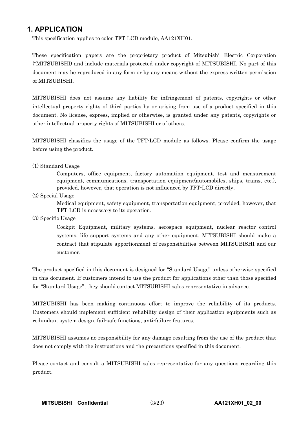## **1. APPLICATION**

This specification applies to color TFT-LCD module, AA121XH01.

These specification papers are the proprietary product of Mitsubishi Electric Corporation ("MITSUBISHI) and include materials protected under copyright of MITSUBISHI. No part of this document may be reproduced in any form or by any means without the express written permission of MITSUBISHI.

MITSUBISHI does not assume any liability for infringement of patents, copyrights or other intellectual property rights of third parties by or arising from use of a product specified in this document. No license, express, implied or otherwise, is granted under any patents, copyrights or other intellectual property rights of MITSUBISHI or of others.

MITSUBISHI classifies the usage of the TFT-LCD module as follows. Please confirm the usage before using the product.

#### (1) Standard Usage

Computers, office equipment, factory automation equipment, test and measurement equipment, communications, transportation equipment(automobiles, ships, trains, etc.), provided, however, that operation is not influenced by TFT-LCD directly.

(2) Special Usage

Medical equipment, safety equipment, transportation equipment, provided, however, that TFT-LCD is necessary to its operation.

(3) Specific Usage

Cockpit Equipment, military systems, aerospace equipment, nuclear reactor control systems, life support systems and any other equipment. MITSUBISHI should make a contract that stipulate apportionment of responsibilities between MITSUBISHI and our customer.

The product specified in this document is designed for "Standard Usage" unless otherwise specified in this document. If customers intend to use the product for applications other than those specified for "Standard Usage", they should contact MITSUBISHI sales representative in advance.

MITSUBISHI has been making continuous effort to improve the reliability of its products. Customers should implement sufficient reliability design of their application equipments such as redundant system design, fail-safe functions, anti-failure features.

MITSUBISHI assumes no responsibility for any damage resulting from the use of the product that does not comply with the instructions and the precautions specified in this document.

Please contact and consult a MITSUBISHI sales representative for any questions regarding this product.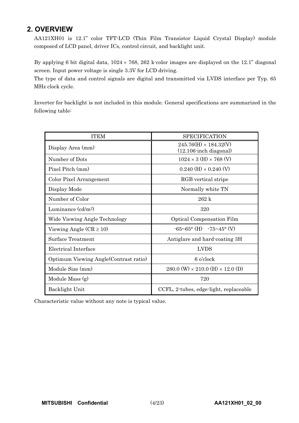## **2. OVERVIEW**

AA121XH01 is 12.1" color TFT-LCD (Thin Film Transistor Liquid Crystal Display) module composed of LCD panel, driver ICs, control circuit, and backlight unit.

By applying 6 bit digital data,  $1024 \times 768$ ,  $262$  k-color images are displayed on the 12.1" diagonal screen. Input power voltage is single 3.3V for LCD driving.

The type of data and control signals are digital and transmitted via LVDS interface per Typ. 65 MHz clock cycle.

Inverter for backlight is not included in this module. General specifications are summarized in the following table:

| <b>ITEM</b>                            | <b>SPECIFICATION</b>                                      |
|----------------------------------------|-----------------------------------------------------------|
| Display Area (mm)                      | $245.76(H) \times 184.32(V)$<br>$(12.106$ -inch diagonal) |
| Number of Dots                         | $1024 \times 3$ (H) $\times 768$ (V)                      |
| Pixel Pitch (mm)                       | $0.240$ (H) $\times$ 0.240 (V)                            |
| Color Pixel Arrangement                | RGB vertical stripe                                       |
| Display Mode                           | Normally white TN                                         |
| Number of Color                        | $262 \text{ k}$                                           |
| Luminance $(cd/m^2)$                   | 320                                                       |
| Wide Viewing Angle Technology          | <b>Optical Compensation Film</b>                          |
| Viewing Angle $(CR \ge 10)$            | $-65~65$ ° (H) $-75~45$ ° (V)                             |
| Surface Treatment                      | Antiglare and hard-coating 3H                             |
| Electrical Interface                   | <b>LVDS</b>                                               |
| Optimum Viewing Angle (Contrast ratio) | 6 o'clock                                                 |
| Module Size (mm)                       | 280.0 (W) $\times$ 210.0 (H) $\times$ 12.0 (D)            |
| Module Mass (g)                        | 720                                                       |
| Backlight Unit                         | CCFL, 2-tubes, edge-light, replaceable                    |

Characteristic value without any note is typical value.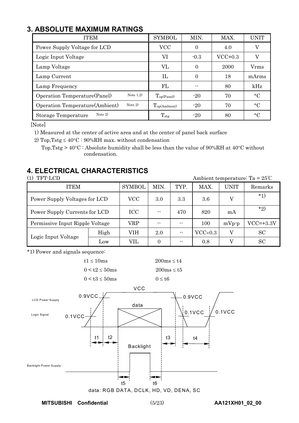## **3. ABSOLUTE MAXIMUM RATINGS**

| <b>ITEM</b>                                 | <b>SYMBOL</b>            | MIN.     | MAX.      | UNIT        |
|---------------------------------------------|--------------------------|----------|-----------|-------------|
| Power Supply Voltage for LCD                | <b>VCC</b>               | $\theta$ | 4.0       | V           |
| Logic Input Voltage                         | VI                       | $-0.3$   | $VCC+0.3$ | V           |
| Lamp Voltage                                | VL                       | $\Omega$ | 2000      | Vrms        |
| Lamp Current                                | $\Pi$                    | 0        | 18        | mArms       |
| Lamp Frequency                              | FL                       |          | 80        | kHz         |
| Note $1,2)$<br>Operation Temperature(Panel) | $T_{op(Panel)}$          | $-20$    | 70        | $^{\circ}C$ |
| Note $2)$<br>Operation Temperature(Ambient) | $T_{\text{op(Ambient)}}$ | $-20$    | 70        | $\circ$ C   |
| Note $2)$<br>Storage Temperature            | $T_{\rm stg}$            | $-20$    | 80        | $^{\circ}C$ |

[Note]

1) Measured at the center of active area and at the center of panel back surface

2) Top, Tstg  $\leq 40^{\circ}\text{C}$ : 90%RH max. without condensation

Top, Tstg >  $40^{\circ}$ C : Absolute humidity shall be less than the value of 90%RH at  $40^{\circ}$ C without condensation.

## **4. ELECTRICAL CHARACTERISTICS**

| TFT-LCD |
|---------|
|---------|

Ambient temperature: Ta =  $25^{\circ}$ C

| <b>ITEM</b>                     |            | <b>SYMBOL</b> | MIN.  | TYP.  | MAX.      | UNIT    | Remarks     |
|---------------------------------|------------|---------------|-------|-------|-----------|---------|-------------|
| Power Supply Voltages for LCD   | VCC        | 3.0           | 3.3   | 3.6   | V         | $*_{1}$ |             |
| Power Supply Currents for LCD   | <b>ICC</b> |               | 470   | 820   | mA        | $*_{2}$ |             |
| Permissive Input Ripple Voltage |            | VRP           | $- -$ | $- -$ | 100       | $mVp-p$ | $VCC=+3.3V$ |
| Logic Input Voltage             | High       | VIH           | 2.0   | --    | $VCC+0.3$ | V       | <b>SC</b>   |
|                                 | Low        | VIL           |       | --    | 0.8       |         | <b>SC</b>   |

\*1) Power and signals sequence:



**MITSUBISHI Confidential** (5/23) **AA121XH01\_02\_00**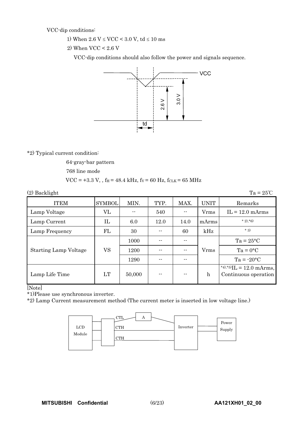VCC-dip conditions:

1) When  $2.6 \text{ V} \leq \text{VCC} \leq 3.0 \text{ V}$ , td  $\leq 10 \text{ ms}$ 

2) When VCC < 2.6 V

VCC-dip conditions should also follow the power and signals sequence.



\*2) Typical current condition:

64-gray-bar pattern

768 line mode

$$
VCC = +3.3 V, f_H = 48.4 kHz, f_V = 60 Hz, f_{CLK} = 65 MHz
$$

| $(2)$ Backlight              |               |        |      |      |                    | $Ta = 25^{\circ}C$                                 |
|------------------------------|---------------|--------|------|------|--------------------|----------------------------------------------------|
| <b>ITEM</b>                  | <b>SYMBOL</b> | MIN.   | TYP. | MAX. | UNIT               | Remarks                                            |
| Lamp Voltage                 | VL            |        | 540  |      | <b>V</b> rms       | $IL = 12.0$ mArms                                  |
| Lamp Current                 | IL            | 6.0    | 12.0 | 14.0 | mArms              | $*2,*6$                                            |
| Lamp Frequency               | FL            | 30     |      | 60   | kHz                | $*3)$                                              |
|                              |               | 1000   |      |      | $Ta = 25^{\circ}C$ |                                                    |
| <b>Starting Lamp Voltage</b> | VS            | 1200   |      |      | <b>V</b> rms       | $Ta = 0$ °C                                        |
|                              |               | 1290   | --   | --   |                    | $Ta = -20°C$                                       |
| Lamp Life Time               | LT            | 50,000 |      |      | $\mathbf h$        | *4),*5) $IL = 12.0$ mArms,<br>Continuous operation |

[Note]

\*1)Please use synchronous inverter.

\*2) Lamp Current measurement method (The current meter is inserted in low voltage line.)

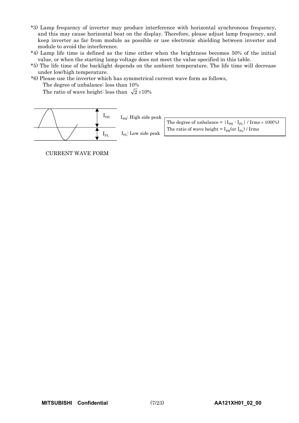- \*3) Lamp frequency of inverter may produce interference with horizontal synchronous frequency, and this may cause horizontal beat on the display. Therefore, please adjust lamp frequency, and keep inverter as far from module as possible or use electronic shielding between inverter and module to avoid the interference.
- \*4) Lamp life time is defined as the time either when the brightness becomes 50% of the initial value, or when the starting lamp voltage does not meet the value specified in this table.
- \*5) The life time of the backlight depends on the ambient temperature. The life time will decrease under low/high temperature.
- \*6) Please use the inverter which has symmetrical current wave form as follows,

The degree of unbalance: less than 10%

The ratio of wave height: less than  $\sqrt{2} \pm 10\%$ 



CURRENT WAVE FORM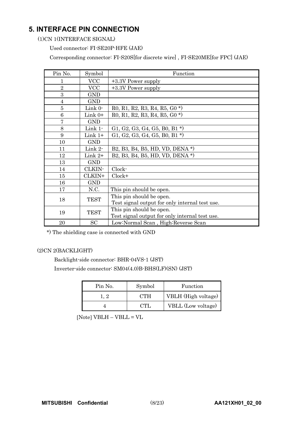## **5. INTERFACE PIN CONNECTION**

(1)CN 1(INTERFACE SIGNAL)

Used connector: FI-SE20P-HFE (JAE)

Corresponding connector: FI-S20S[for discrete wire] , FI-SE20ME[for FPC] (JAE)

| Pin No.        | Symbol      | Function                                       |
|----------------|-------------|------------------------------------------------|
| 1              | <b>VCC</b>  | +3.3V Power supply                             |
| $\overline{2}$ | <b>VCC</b>  | +3.3V Power supply                             |
| 3              | <b>GND</b>  |                                                |
| $\overline{4}$ | <b>GND</b>  |                                                |
| 5              | Link 0-     | $R0, R1, R2, R3, R4, R5, G0*)$                 |
| 6              | Link $0+$   | $R0, R1, R2, R3, R4, R5, G0$ <sup>*</sup> )    |
| $\overline{7}$ | <b>GND</b>  |                                                |
| 8              | Link 1-     | G1, G2, G3, G4, G5, B0, B1 $^*$ )              |
| 9              | Link $1+$   | G1, G2, G3, G4, G5, B0, B1 $*$ )               |
| 10             | <b>GND</b>  |                                                |
| 11             | Link 2-     | B2, B3, B4, B5, HD, VD, DENA *)                |
| 12             | Link $2+$   | B2, B3, B4, B5, HD, VD, DENA *)                |
| 13             | <b>GND</b>  |                                                |
| 14             | CLKIN-      | Clock-                                         |
| 15             | CLKIN+      | $Clock+$                                       |
| 16             | <b>GND</b>  |                                                |
| 17             | N.C.        | This pin should be open.                       |
| 18             | <b>TEST</b> | This pin should be open.                       |
|                |             | Test signal output for only internal test use. |
| 19             | <b>TEST</b> | This pin should be open.                       |
|                |             | Test signal output for only internal test use. |
| 20             | SC          | Low:Normal Scan, High:Reverse Scan             |

\*) The shielding case is connected with GND

### (2)CN 2(BACKLIGHT)

Backlight-side connector: BHR-04VS-1 (JST) Inverter-side connector: SM04(4.0)B-BHS(LF)(SN) (JST)

| Pin No.       | Symbol | Function            |
|---------------|--------|---------------------|
| $\rightarrow$ | CTH    | VBLH (High voltage) |
|               | וייַ ז | VBLL (Low voltage)  |

 $[{\rm Note}]~{\rm VBLH}-{\rm VBLL}={\rm VL}$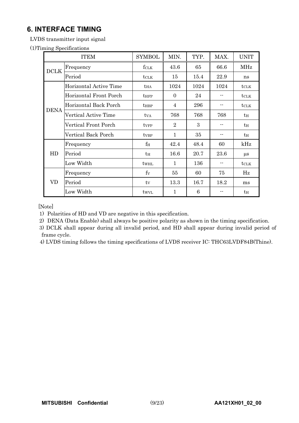## **6. INTERFACE TIMING**

LVDS transmitter input signal

(1)Timing Specifications

|             | <b>ITEM</b>                 | <b>SYMBOL</b>    | MIN.           | TYP. | MAX. | <b>UNIT</b>   |
|-------------|-----------------------------|------------------|----------------|------|------|---------------|
| <b>DCLK</b> | Frequency                   | fclk             | 43.6           | 65   | 66.6 | <b>MHz</b>    |
|             | Period                      | $t$ CLK          | 15             | 15.4 | 22.9 | ns            |
|             | Horizontal Active Time      | $t_{HA}$         | 1024           | 1024 | 1024 | $t_{\rm CLK}$ |
|             | Horizontal Front Porch      | <b>t</b> HFP     | $\Omega$       | 24   | --   | <b>t</b> CLK  |
|             | Horizontal Back Porch       | $t_{\rm HBP}$    | 4              | 296  | --   | $t_{\rm CLK}$ |
| <b>DENA</b> | <b>Vertical Active Time</b> | $t_{VA}$         | 768            | 768  | 768  | $t_H$         |
|             | Vertical Front Porch        | ty <sub>FP</sub> | $\overline{2}$ | 3    | --   | $t_H$         |
|             | Vertical Back Porch         | ty <sub>BP</sub> | $\mathbf{1}$   | 35   |      | $t_H$         |
|             | Frequency                   | $f_{\rm H}$      | 42.4           | 48.4 | 60   | kHz           |
| HD          | Period                      | $t_H$            | 16.6           | 20.7 | 23.6 | $\mu$ s       |
|             | Low Width                   | twhl             | 1              | 136  | --   | <b>t</b> CLK  |
|             | Frequency                   | $f_V$            | 55             | 60   | 75   | Hz            |
| VD          | Period                      | ty               | 13.3           | 16.7 | 18.2 | ms            |
|             | Low Width                   | twyl             | 1              | 6    |      | $t_H$         |

[Note]

1) Polarities of HD and VD are negative in this specification.

2) DENA (Data Enable) shall always be positive polarity as shown in the timing specification.

 3) DCLK shall appear during all invalid period, and HD shall appear during invalid period of frame cycle.

4) LVDS timing follows the timing specifications of LVDS receiver IC: THC63LVDF84B(Thine).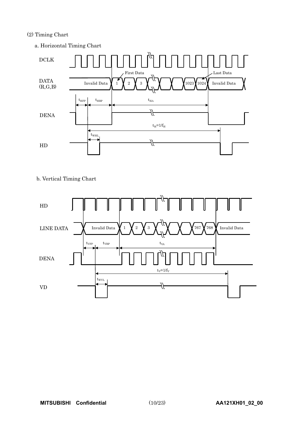## (2) Timing Chart



#### b. Vertical Timing Chart

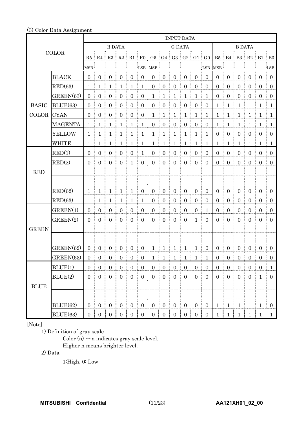#### (3) Color Data Assignment

|              |                | <b>INPUT DATA</b>   |                  |                     |                                        |                                        |                       |                     |                  |                               |                        |                  |                                 |                   |                   |                  |                       |                             |                   |
|--------------|----------------|---------------------|------------------|---------------------|----------------------------------------|----------------------------------------|-----------------------|---------------------|------------------|-------------------------------|------------------------|------------------|---------------------------------|-------------------|-------------------|------------------|-----------------------|-----------------------------|-------------------|
| <b>COLOR</b> |                |                     |                  | R DATA              |                                        |                                        |                       |                     | <b>G DATA</b>    |                               |                        |                  |                                 | <b>B DATA</b>     |                   |                  |                       |                             |                   |
|              |                |                     |                  | $R5$ $R4$ $R3$ $R2$ |                                        | $R1$ RO                                |                       |                     |                  | $G5$ $G4$ $G3$ $G2$ $G1$ $G0$ |                        |                  |                                 |                   |                   |                  |                       | B5   B4   B3   B2   B1   B0 |                   |
|              |                | MSB                 |                  |                     |                                        |                                        | LSB                   | MSB                 |                  |                               |                        |                  | LSB                             | MSB <sup>3</sup>  |                   |                  |                       |                             | LSB               |
|              | <b>BLACK</b>   | $\mathbf{0}$        | $\mathbf{0}$     | $\boldsymbol{0}$    | $\boldsymbol{0}$                       | $\mathbf{0}$                           | $\mathbf{0}$          | $\mathbf{0}$        | $\mathbf{0}$     | $\mathbf{0}$                  | $\mathbf{0}$           | $\mathbf{0}$     | $\overline{0}$                  | $\mathbf{0}$      | $\boldsymbol{0}$  | $\overline{0}$   | $\overline{0}$        | $\overline{0}$              | $\overline{0}$    |
|              | RED(63)        | $\mathbf{1}$        | 1                | $\mathbf{1}$        | $\mathbf{1}$                           | $\mathbf{1}$                           | $\mathbf{1}$          | $\overline{0}$      | $\boldsymbol{0}$ | $\boldsymbol{0}$              | $\boldsymbol{0}$       | $\overline{0}$   | $\boldsymbol{0}$                | $\overline{0}$    | $\boldsymbol{0}$  | $\boldsymbol{0}$ | $\overline{0}$        | $\mathbf{0}$                | $\overline{0}$    |
|              | GREEN(63)      | $\overline{0}$      | $\boldsymbol{0}$ | $\boldsymbol{0}$    | $\boldsymbol{0}$                       | $\boldsymbol{0}$                       | $\boldsymbol{0}$      | $\mathbf{1}$        | $\mathbf{1}$     | $\mathbf{1}$                  | $\mathbf{1}$           | $\mathbf{1}$     | $\mathbf{1}$                    | $\boldsymbol{0}$  | $\boldsymbol{0}$  | $\boldsymbol{0}$ | $\overline{0}$        | $\boldsymbol{0}$            | $\mathbf{0}$      |
| <b>BASIC</b> | BLUE(63)       | $\overline{0}$      | $\boldsymbol{0}$ | $\boldsymbol{0}$    | $\boldsymbol{0}$                       | $\overline{0}$                         | $\boldsymbol{0}$      | $\boldsymbol{0}$    | $\boldsymbol{0}$ | $\boldsymbol{0}$              | $\overline{0}$         | $\boldsymbol{0}$ | $\boldsymbol{0}$                | $\mathbf{1}$      | $\mathbf{1}$      | $\mathbf{1}$     | $\mathbf{1}$          | $\mathbf{1}$                | $\mathbf{1}$      |
| COLOR        | <b>CYAN</b>    | $\boldsymbol{0}$    | $\mathbf{0}$     | $\boldsymbol{0}$    | $\boldsymbol{0}$                       | $\mathbf{0}$                           | $\boldsymbol{0}$      | $\mathbf{1}$        | $\mathbf{1}$     | $\mathbf{1}$                  | $\mathbf{1}$           | $\mathbf{1}$     | $\mathbf{1}$                    | $\mathbf{1}$      | $\mathbf{1}$      | $\mathbf{1}$     | $\mathbf{1}$          | 1                           | $\mathbf{1}$      |
|              | <b>MAGENTA</b> | $\mathbf 1$         | 1                | $\mathbf{1}$        | $\mathbf{1}$                           | $\mathbf{1}$                           | $\mathbf{1}$          | $\mathbf{0}$        | $\boldsymbol{0}$ | $\boldsymbol{0}$              | $\mathbf{0}$           | $\mathbf{0}$     | $\boldsymbol{0}$                | $\mathbf{1}$      | $\mathbf{1}$      | $\mathbf{1}$     | $\mathbf{1}$          | $\mathbf{1}$                | $\mathbf{1}$      |
|              | <b>YELLOW</b>  | 1                   | $\mathbf{1}$     | $\mathbf{1}$        | $\mathbf{1}$                           | $\mathbf{1}$                           | $\mathbf{1}$          | $\mathbf{1}$        | $\mathbf{1}$     | $\mathbf{1}$                  | $\mathbf{1}$           | $\mathbf{1}$     | $\mathbf{1}$                    | $\mathbf{0}$      | $\boldsymbol{0}$  | $\overline{0}$   | $\boldsymbol{0}$      | $\boldsymbol{0}$            | $\overline{0}$    |
|              | <b>WHITE</b>   | $\mathbf{1}$        | 1                | $\mathbf{1}$<br>÷   | $\mathbf{1}$                           | $\mathbf{1}$                           | 1                     | $\mathbf 1$         | $\mathbf{1}$     | ŧ.<br>$\mathbf{1}$            | $\mathbf{1}$           | $\mathbf{1}$     | $\mathbf{1}$<br>÷               | $\mathbf{1}$      | $\mathbf{1}$<br>ŧ | $\mathbf{1}$     | $\mathbf{1}$          | 1                           | $\mathbf{1}$<br>÷ |
|              | RED(1)         | $\boldsymbol{0}$    | $\boldsymbol{0}$ | $\boldsymbol{0}$    | $\boldsymbol{0}$                       | $\boldsymbol{0}$                       | $\mathbf{1}$          | $\boldsymbol{0}$    | $\boldsymbol{0}$ | $\boldsymbol{0}$              | $\mathbf{0}$           | $\mathbf{0}$     | $\boldsymbol{0}$                | $\boldsymbol{0}$  | $\boldsymbol{0}$  | $\boldsymbol{0}$ | $\overline{0}$        | $\mathbf{0}$                | $\mathbf{0}$      |
|              | RED(2)         | $\overline{0}$      | $\overline{0}$   | $\boldsymbol{0}$    | $\boldsymbol{0}$                       | $\mathbf{1}$                           | $\mathbf{0}$          | $\overline{0}$      | $\boldsymbol{0}$ | $\boldsymbol{0}$              | $\overline{0}$         | $\overline{0}$   | $\overline{0}$                  | $\overline{0}$    | $\overline{0}$    | $\overline{0}$   | $\overline{0}$        | $\mathbf{0}$                | $\overline{0}$    |
| <b>RED</b>   |                |                     |                  |                     |                                        |                                        |                       |                     |                  |                               |                        |                  |                                 |                   |                   |                  |                       |                             |                   |
|              |                |                     |                  |                     |                                        |                                        |                       |                     |                  |                               |                        |                  |                                 |                   |                   |                  |                       |                             |                   |
|              | RED(62)        | $\mathbf{1}$        | $\mathbf{1}$     | $\mathbf{1}$        | $\mathbf{1}$                           | $\mathbf{1}$                           | $\boldsymbol{0}$      | $\boldsymbol{0}$    | $\boldsymbol{0}$ | $\boldsymbol{0}$              | $\mathbf{0}$           | $\boldsymbol{0}$ | $\overline{0}$                  | $\mathbf{0}$      | $\boldsymbol{0}$  | $\overline{0}$   | $\overline{0}$        | $\boldsymbol{0}$            | $\mathbf{0}$      |
|              | RED(63)        | 1                   | 1                | 1<br>÷              | $\mathbf 1$                            | 1                                      | 1                     | $\mathbf{0}$        | $\boldsymbol{0}$ | $\boldsymbol{0}$<br>ŧ<br>÷    | $\mathbf{0}$           | $\boldsymbol{0}$ | $\boldsymbol{0}$                | $\overline{0}$    | $\boldsymbol{0}$  | $\overline{0}$   | $\overline{0}$        | $\overline{0}$              | $\overline{0}$    |
|              | GREEN(1)       | $\mathbf{0}$        | $\boldsymbol{0}$ | $\boldsymbol{0}$    | $\boldsymbol{0}$                       | $\boldsymbol{0}$                       | $\mathbf{0}$          | $\boldsymbol{0}$    | $\boldsymbol{0}$ | $\boldsymbol{0}$              | $\boldsymbol{0}$       | $\boldsymbol{0}$ | $\mathbf{1}$                    | $\overline{0}$    | $\boldsymbol{0}$  | $\boldsymbol{0}$ | $\boldsymbol{0}$      | $\mathbf{0}$                | $\mathbf{0}$      |
|              | GREFN(2)       | $\mathbf{0}$        | $\boldsymbol{0}$ | $\boldsymbol{0}$    | $\boldsymbol{0}$                       | $\boldsymbol{0}$                       | $\boldsymbol{0}$      | $\boldsymbol{0}$    | $\boldsymbol{0}$ | $\boldsymbol{0}$              | $\boldsymbol{0}$       | $\mathbf{1}$     | $\overline{0}$                  | $\overline{0}$    | $\boldsymbol{0}$  | $\boldsymbol{0}$ | $\boldsymbol{0}$      | $\mathbf{0}$                | $\mathbf{0}$      |
| <b>GREEN</b> |                |                     |                  |                     |                                        |                                        |                       |                     |                  |                               |                        |                  |                                 |                   |                   |                  |                       |                             |                   |
|              |                |                     |                  |                     |                                        |                                        |                       |                     |                  |                               |                        |                  |                                 |                   |                   |                  |                       |                             |                   |
|              | GREEN(62)      | $0 \pm$             | $\mathbf{0}$     | $\mathbf{0}$        | $\overline{0}$<br>Ě.                   | $\overline{0}$                         | $\overline{0}$        | $1 \nmid 1$         |                  | $\vdash$ 1                    | $\mathbf{1}$           | $\mathbf{1}$     | $\overline{0}$                  | $\overline{0}$    | $\boldsymbol{0}$  | $\overline{0}$   | $\overline{0}$<br>÷   | $\boldsymbol{0}$            | $\overline{0}$    |
|              | GREEN(63)      | $\overline{0}$      | 0 <sup>1</sup>   | $\overline{0}$      | $\begin{bmatrix} 0 \\ 0 \end{bmatrix}$ | $\begin{bmatrix} 0 \\ 0 \end{bmatrix}$ | $\overline{0}$        |                     |                  | $1 \t1 \t1 \t1 \t1 \t1$       |                        |                  | $\mathbf{1}$                    | $\overline{0}$    | $0 \t 0$          |                  | $\overline{0}$        | $\overline{0}$              | $0-1$             |
|              | BLUE(1)        | $\mathbf{0}$<br>Æ   | $\boldsymbol{0}$ | $\overline{0}$      | $\mathbf{0}$                           | $\overline{0}$                         | $\boldsymbol{0}$<br>÷ | $\overline{0}$<br>Æ | $\boldsymbol{0}$ | $\boldsymbol{0}$<br>÷.        | $\mathbf{0}$<br>ŧ      | $\overline{0}$   | $\overline{0}$<br>$\frac{1}{2}$ | $\overline{0}$    | $\boldsymbol{0}$  | $\overline{0}$   | $\boldsymbol{0}$<br>÷ | $\mathbf{0}$                | $\mathbf{1}$      |
|              | BLUE(2)        | $\mathbf{0}$        | $\boldsymbol{0}$ | $\boldsymbol{0}$    | $\mathbf{0}$                           | $\overline{0}$                         | $\mathbf{0}$          | $\overline{0}$      | $\boldsymbol{0}$ | $\mathbf{0}$                  | $\mathbf{0}$           | $\boldsymbol{0}$ | $\overline{0}$                  | $\mathbf{0}$      | $\boldsymbol{0}$  | $\mathbf{0}$     | $\overline{0}$        | $\mathbf{1}$                | $\boldsymbol{0}$  |
| <b>BLUE</b>  |                |                     |                  |                     |                                        |                                        |                       |                     |                  |                               |                        |                  |                                 |                   |                   |                  |                       |                             |                   |
|              |                |                     |                  |                     |                                        |                                        |                       |                     |                  |                               |                        |                  |                                 |                   |                   |                  |                       |                             |                   |
|              | BLUE(62)       | $\boldsymbol{0}$    | $\boldsymbol{0}$ | $\boldsymbol{0}$    | $\boldsymbol{0}$                       | $\mathbf{0}$                           | $\boldsymbol{0}$      | $\overline{0}$      | $\mathbf{0}$     | $\boldsymbol{0}$              | $\mathbf{0}$           | $\mathbf{0}$     | $\overline{0}$                  | $\mathbf{1}$      | $\mathbf{1}$      | $\mathbf{1}$     | $\mathbf{1}$          | $\mathbf{1}$                | $\overline{0}$    |
|              | BLUE(63)       | $\mathbf{0}$<br>- 1 | 0 <sup>1</sup>   | $\overline{0}$<br>÷ | $\overline{0}$                         | $\overline{0}$<br>L                    | $\boldsymbol{0}$<br>Ł | 0 <sup>1</sup>      | $\overline{0}$   | L<br>$\overline{0}$           | $\mathbf{0}$<br>÷<br>÷ | $\overline{0}$   | $\mathbf{0}$<br>÷               | $\mathbf{1}$<br>÷ | $\mathbf{1}$      | $\mathbf{1}$     | $\mathbf{1}$<br>÷     | $\frac{1}{2}$               | $\mathbf{1}$      |

[Note]

1) Definition of gray scale

Color (n)  $\cdots$  n indicates gray scale level. Higher n means brighter level.

2) Data

1:High, 0: Low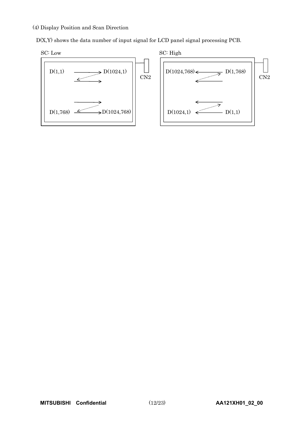#### (4) Display Position and Scan Direction

D(X,Y) shows the data number of input signal for LCD panel signal processing PCB.



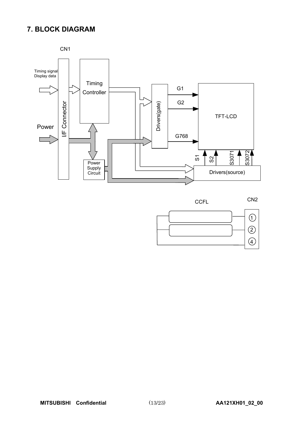## **7. BLOCK DIAGRAM**



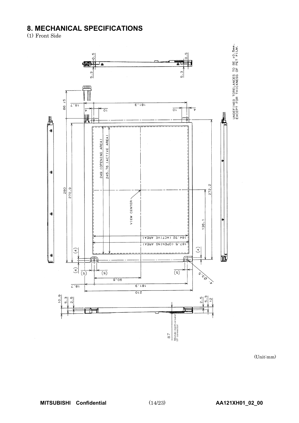## **8. MECHANICAL SPECIFICATIONS**<br>(1) Front Side



(Unit:mm)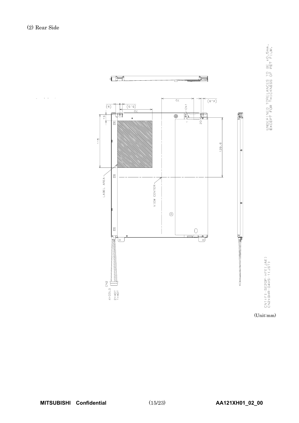

 $\sim$   $\sim$  $\mathcal{L}$ 

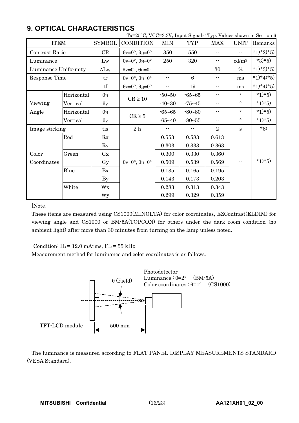|                        |            |                       | Ta=25°C, VCC=3.3V, Input Signals: Typ. Values shown in Section 6 |            |                          |                            |                            |           |
|------------------------|------------|-----------------------|------------------------------------------------------------------|------------|--------------------------|----------------------------|----------------------------|-----------|
| <b>ITEM</b>            |            | <b>SYMBOL</b>         | <b>CONDITION</b>                                                 | <b>MIN</b> | <b>TYP</b>               | <b>MAX</b>                 | <b>UNIT</b>                | Remarks   |
| Contrast Ratio         |            | CR                    | $\theta$ v=0°, $\theta$ H=0°                                     | 350        | 550                      | $-$                        | $-1$                       | *1)*2)*5) |
| Luminance              |            | Lw                    | $\theta$ v=0°, $\theta$ H=0°                                     | 250        | 320                      | ۰.                         | $\mathrm{cd}/\mathrm{m}^2$ | $*3)*5)$  |
| Luminance Uniformity   |            | $\Delta Lw$           | $\theta$ v=0°, $\theta$ H=0°                                     | $-$        | $\overline{\phantom{a}}$ | 30                         | $\%$                       | *1)*3)*5) |
| Response Time          |            | tr                    | $\theta$ v=0°, $\theta$ H=0°                                     | $ -$       | 6                        | $\overline{\phantom{a}}$ . | ms                         | *1)*4)*5) |
|                        |            | tf                    | $\theta$ v=0°, $\theta$ H=0°                                     |            | 19                       | $\overline{\phantom{a}}$ . | ms                         | *1)*4)*5) |
|                        | Horizontal | $\theta_H$            |                                                                  | $-50 - 50$ | $-65 - 65$               | ۰-                         | $\circ$                    | $*1)*5)$  |
| Viewing                | Vertical   | $\theta$ <sub>V</sub> | $\mathrm{CR} \geq 10$                                            | $-40 - 30$ | $-75 - 45$               | --                         | $\circ$                    | $*1)*5)$  |
| Angle                  | Horizontal | $\theta_H$            |                                                                  | $-65 - 65$ | $-80 - 80$               | --                         | $\circ$                    | $*1)*5)$  |
| Vertical<br>$\theta$ v |            | $CR \geq 5$           | $-65 - 40$                                                       | $-80 - 55$ | ۰-                       | $\circ$                    | $*1)*5)$                   |           |
| Image sticking         |            | tis                   | 2h                                                               |            |                          | $\sqrt{2}$                 | $\mathbf{s}$               | $*6)$     |
|                        | Red        | Rx                    |                                                                  | 0.553      | 0.583                    | 0.613                      |                            |           |
|                        |            | $\rm Ry$              |                                                                  | 0.303      | 0.333                    | 0.363                      |                            |           |
| Color                  | Green      | Gx                    |                                                                  | 0.300      | 0.330                    | 0.360                      |                            |           |
| Coordinates            |            | Gy                    | $\theta$ v=0°, $\theta$ H=0°                                     | 0.509      | 0.539                    | 0.569                      | $-$                        | $*1)*5)$  |
|                        | Blue       | Bx                    |                                                                  | 0.135      | 0.165                    | 0.195                      |                            |           |
|                        |            | <b>By</b>             |                                                                  | 0.143      | 0.173                    | 0.203                      |                            |           |
|                        | White      | Wx                    |                                                                  | 0.283      | 0.313                    | 0.343                      |                            |           |
|                        |            | Wy                    |                                                                  | 0.299      | 0.329                    | 0.359                      |                            |           |

## **9. OPTICAL CHARACTERISTICS**

[Note]

These items are measured using CS1000(MINOLTA) for color coordinates, EZContrast(ELDIM) for viewing angle and CS1000 or BM-5A(TOPCON) for others under the dark room condition (no ambient light) after more than 30 minutes from turning on the lamp unless noted.

Condition:  $IL = 12.0$  mArms,  $FL = 55$  kHz

Measurement method for luminance and color coordinates is as follows.



The luminance is measured according to FLAT PANEL DISPLAY MEASUREMENTS STANDARD (VESA Standard).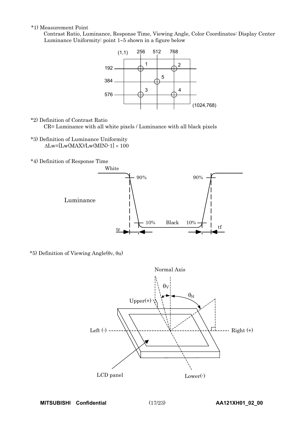\*1) Measurement Point

Contrast Ratio, Luminance, Response Time, Viewing Angle, Color Coordinates: Display Center Luminance Uniformity: point  $1-5$  shown in a figure below



\*2) Definition of Contrast Ratio

CR= Luminance with all white pixels / Luminance with all black pixels

- \*3) Definition of Luminance Uniformity  $\Delta$ Lw=[Lw(MAX)/Lw(MIN)-1]  $\times$  100
- \*4) Definition of Response Time



\*5) Definition of Viewing Angle( $\theta$ v,  $\theta$ H)

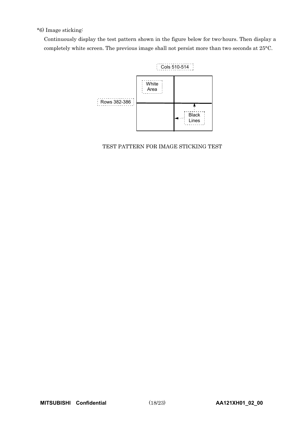### \*6) Image sticking:

Continuously display the test pattern shown in the figure below for two-hours. Then display a completely white screen. The previous image shall not persist more than two seconds at 25°C.



TEST PATTERN FOR IMAGE STICKING TEST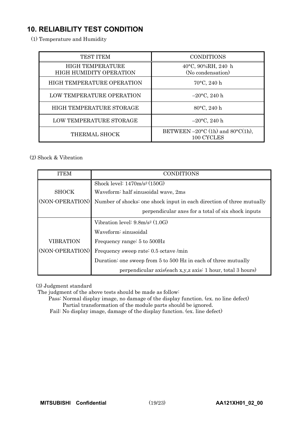## **10. RELIABILITY TEST CONDITION**-

(1) Temperature and Humidity

| <b>TEST ITEM</b>                                          | <b>CONDITIONS</b>                                 |
|-----------------------------------------------------------|---------------------------------------------------|
| <b>HIGH TEMPERATURE</b><br><b>HIGH HUMIDITY OPERATION</b> | 40°C, 90%RH, 240 h<br>(No condensation)           |
| <b>HIGH TEMPERATURE OPERATION</b>                         | $70^{\circ}$ C, 240 h                             |
| <b>LOW TEMPERATURE OPERATION</b>                          | $-20$ °C, 240 h                                   |
| HIGH TEMPERATURE STORAGE                                  | 80°C, 240 h                                       |
| LOW TEMPERATURE STORAGE                                   | $-20$ °C, 240 h                                   |
| THERMAL SHOCK                                             | BETWEEN $-20$ °C (1h) and 80°C(1h),<br>100 CYCLES |

### (2) Shock & Vibration

| <b>ITEM</b>     | <b>CONDITIONS</b>                                                     |
|-----------------|-----------------------------------------------------------------------|
|                 | Shock level: $1470 \text{m/s}^2 (150 \text{G})$                       |
| <b>SHOCK</b>    | Waveform: half sinusoidal wave, 2ms                                   |
| (NON-OPERATION) | Number of shocks: one shock input in each direction of three mutually |
|                 | perpendicular axes for a total of six shock inputs                    |
|                 | Vibration level: $9.8m/s^2$ (1.0G)                                    |
|                 | Waveform: sinusoidal                                                  |
| VIBRATION       | Frequency range: 5 to 500Hz                                           |
| (NON-OPERATION) | Frequency sweep rate: 0.5 octave /min                                 |
|                 | Duration: one sweep from 5 to 500 Hz in each of three mutually        |
|                 | perpendicular axis(each x,y,z axis: 1 hour, total 3 hours)            |

(3) Judgment standard

The judgment of the above tests should be made as follow:

Pass: Normal display image, no damage of the display function. (ex. no line defect) Partial transformation of the module parts should be ignored.

Fail: No display image, damage of the display function. (ex. line defect)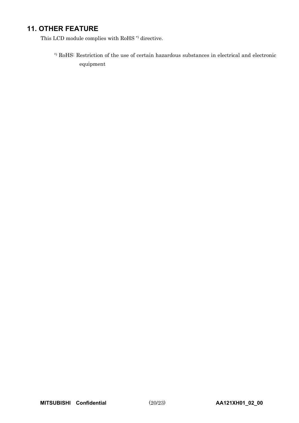## **11. OTHER FEATURE**

This LCD module complies with RoHS  $^\ast$  directive.

\*) RoHS: Restriction of the use of certain hazardous substances in electrical and electronic equipment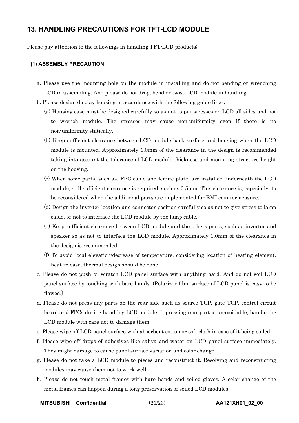## **13. HANDLING PRECAUTIONS FOR TFT-LCD MODULE**-

Please pay attention to the followings in handling TFT-LCD products;

#### **(1) ASSEMBLY PRECAUTION**

- a. Please use the mounting hole on the module in installing and do not bending or wrenching LCD in assembling. And please do not drop, bend or twist LCD module in handling.
- b. Please design display housing in accordance with the following guide lines.
	- (a) Housing case must be designed carefully so as not to put stresses on LCD all sides and not to wrench module. The stresses may cause non-uniformity even if there is no non-uniformity statically.
	- (b) Keep sufficient clearance between LCD module back surface and housing when the LCD module is mounted. Approximately 1.0mm of the clearance in the design is recommended taking into account the tolerance of LCD module thickness and mounting structure height on the housing.
	- (c) When some parts, such as, FPC cable and ferrite plate, are installed underneath the LCD module, still sufficient clearance is required, such as 0.5mm. This clearance is, especially, to be reconsidered when the additional parts are implemented for EMI countermeasure.
	- (d) Design the inverter location and connector position carefully so as not to give stress to lamp cable, or not to interface the LCD module by the lamp cable.
	- (e) Keep sufficient clearance between LCD module and the others parts, such as inverter and speaker so as not to interface the LCD module. Approximately 1.0mm of the clearance in the design is recommended.
	- (f) To avoid local elevation/decrease of temperature, considering location of heating element, heat release, thermal design should be done.
- c. Please do not push or scratch LCD panel surface with anything hard. And do not soil LCD panel surface by touching with bare hands. (Polarizer film, surface of LCD panel is easy to be flawed.)
- d. Please do not press any parts on the rear side such as source TCP, gate TCP, control circuit board and FPCs during handling LCD module. If pressing rear part is unavoidable, handle the LCD module with care not to damage them.
- e. Please wipe off LCD panel surface with absorbent cotton or soft cloth in case of it being soiled.
- f. Please wipe off drops of adhesives like saliva and water on LCD panel surface immediately. They might damage to cause panel surface variation and color change.
- g. Please do not take a LCD module to pieces and reconstruct it. Resolving and reconstructing modules may cause them not to work well.
- h. Please do not touch metal frames with bare hands and soiled gloves. A color change of the metal frames can happen during a long preservation of soiled LCD modules.

**MITSUBISHI Confidential** (21/23) **AA121XH01\_02\_00**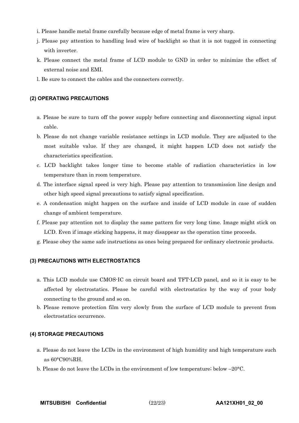- i. Please handle metal frame carefully because edge of metal frame is very sharp.
- j. Please pay attention to handling lead wire of backlight so that it is not tugged in connecting with inverter.
- k. Please connect the metal frame of LCD module to GND in order to minimize the effect of external noise and EMI.
- l. Be sure to connect the cables and the connecters correctly.

#### **(2) OPERATING PRECAUTIONS**

- a. Please be sure to turn off the power supply before connecting and disconnecting signal input cable.
- b. Please do not change variable resistance settings in LCD module. They are adjusted to the most suitable value. If they are changed, it might happen LCD does not satisfy the characteristics specification.
- c. LCD backlight takes longer time to become stable of radiation characteristics in low temperature than in room temperature.
- d. The interface signal speed is very high. Please pay attention to transmission line design and other high speed signal precautions to satisfy signal specification.
- e. A condensation might happen on the surface and inside of LCD module in case of sudden change of ambient temperature.
- f. Please pay attention not to display the same pattern for very long time. Image might stick on LCD. Even if image sticking happens, it may disappear as the operation time proceeds.
- g. Please obey the same safe instructions as ones being prepared for ordinary electronic products.

#### **(3) PRECAUTIONS WITH ELECTROSTATICS**

- a. This LCD module use CMOS-IC on circuit board and TFT-LCD panel, and so it is easy to be affected by electrostatics. Please be careful with electrostatics by the way of your body connecting to the ground and so on.
- b. Please remove protection film very slowly from the surface of LCD module to prevent from electrostatics occurrence.

#### **(4) STORAGE PRECAUTIONS**

- a. Please do not leave the LCDs in the environment of high humidity and high temperature such as 60°C90%RH.
- b. Please do not leave the LCDs in the environment of low temperature; below –20°C.